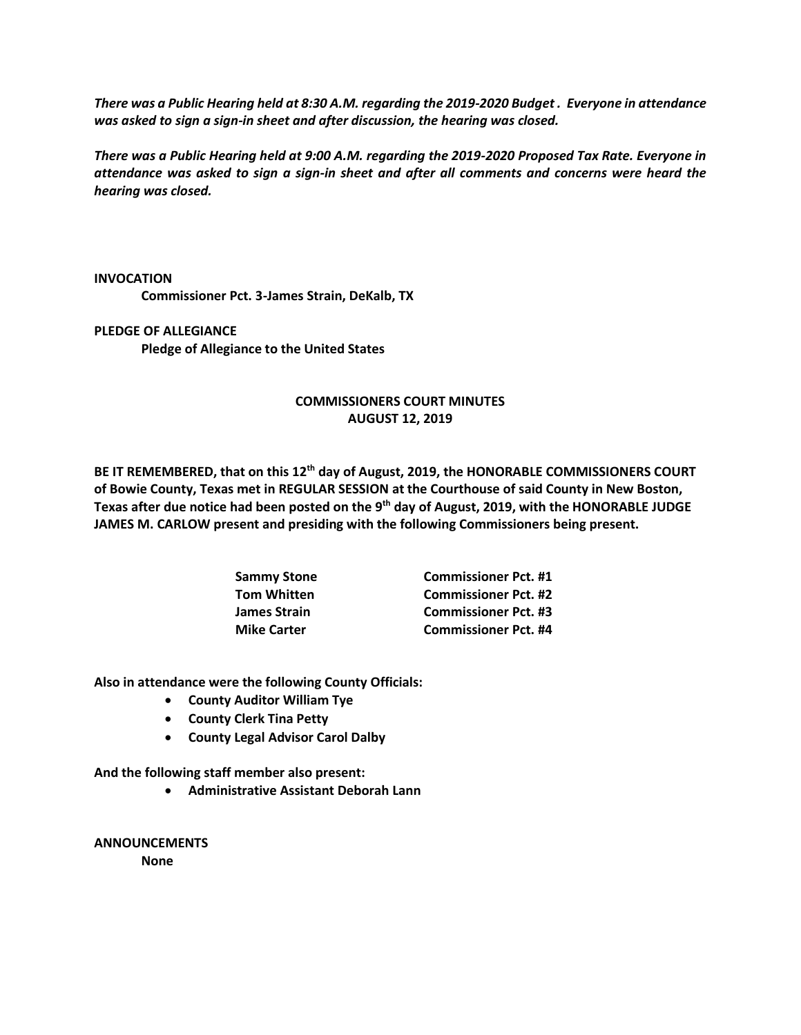*There was a Public Hearing held at 8:30 A.M. regarding the 2019-2020 Budget . Everyone in attendance was asked to sign a sign-in sheet and after discussion, the hearing was closed.*

*There was a Public Hearing held at 9:00 A.M. regarding the 2019-2020 Proposed Tax Rate. Everyone in attendance was asked to sign a sign-in sheet and after all comments and concerns were heard the hearing was closed.*

**INVOCATION**

**Commissioner Pct. 3-James Strain, DeKalb, TX** 

**PLEDGE OF ALLEGIANCE Pledge of Allegiance to the United States**

## **COMMISSIONERS COURT MINUTES AUGUST 12, 2019**

**BE IT REMEMBERED, that on this 12th day of August, 2019, the HONORABLE COMMISSIONERS COURT of Bowie County, Texas met in REGULAR SESSION at the Courthouse of said County in New Boston, Texas after due notice had been posted on the 9th day of August, 2019, with the HONORABLE JUDGE JAMES M. CARLOW present and presiding with the following Commissioners being present.**

| Sammy Stone        | <b>Commissioner Pct. #1</b> |
|--------------------|-----------------------------|
| Tom Whitten        | <b>Commissioner Pct. #2</b> |
| James Strain       | <b>Commissioner Pct. #3</b> |
| <b>Mike Carter</b> | <b>Commissioner Pct. #4</b> |

**Also in attendance were the following County Officials:**

- **County Auditor William Tye**
- **County Clerk Tina Petty**
- **County Legal Advisor Carol Dalby**

**And the following staff member also present:**

• **Administrative Assistant Deborah Lann**

**ANNOUNCEMENTS None**